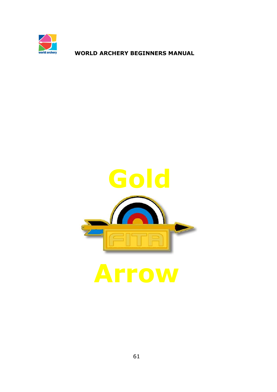

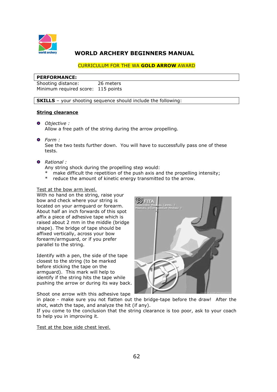

#### CURRICULUM FOR THE WA **GOLD ARROW** AWARD

#### **PERFORMANCE:**

Shooting distance: 26 meters Minimum required score: 115 points

**SKILLS** – your shooting sequence should include the following:

#### **String clearance**

- *Objective :*  Allow a free path of the string during the arrow propelling.
- *Form :*

See the two tests further down. You will have to successfully pass one of these tests.

#### *Rational :*

Any string shock during the propelling step would:

- make difficult the repetition of the push axis and the propelling intensity;
- \* reduce the amount of kinetic energy transmitted to the arrow.

#### Test at the bow arm level.

With no hand on the string, raise your bow and check where your string is located on your armguard or forearm. About half an inch forwards of this spot affix a piece of adhesive tape which is raised about 2 mm in the middle (bridge shape). The bridge of tape should be affixed vertically, across your bow forearm/armguard, or if you prefer parallel to the string.

Identify with a pen, the side of the tape closest to the string (to be marked before sticking the tape on the armguard). This mark will help to identify if the string hits the tape while pushing the arrow or during its way back.

Shoot one arrow with this adhesive tape



in place - make sure you not flatten out the bridge-tape before the draw! After the shot, watch the tape, and analyze the hit (if any).

If you come to the conclusion that the string clearance is too poor, ask to your coach to help you in improving it.

#### Test at the bow side chest level.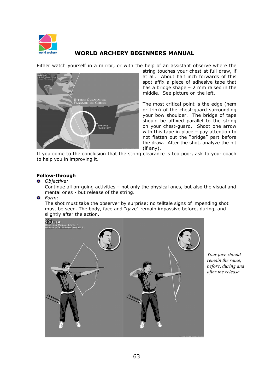

Either watch yourself in a mirror, or with the help of an assistant observe where the



string touches your chest at full draw, if at all. About half inch forwards of this spot affix a piece of adhesive tape that has a bridge shape – 2 mm raised in the middle. See picture on the left.

The most critical point is the edge (hem or trim) of the chest-guard surrounding your bow shoulder. The bridge of tape should be affixed parallel to the string on your chest-guard. Shoot one arrow with this tape in place – pay attention to not flatten out the "bridge" part before the draw. After the shot, analyze the hit (if any).

If you come to the conclusion that the string clearance is too poor, ask to your coach to help you in improving it.

### **Follow-through**

*Objective:* 

Continue all on-going activities – not only the physical ones, but also the visual and mental ones - but release of the string.

*Form:* 

The shot must take the observer by surprise; no telltale signs of impending shot must be seen. The body, face and "gaze" remain impassive before, during, and slightly after the action.



*Your face should remain the same, before, during and after the release*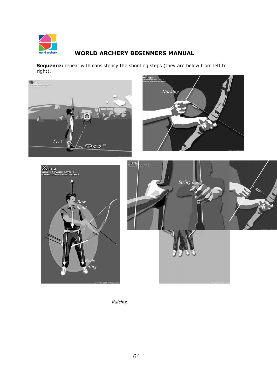

**Sequence:** repeat with consistency the shooting steps (they are below from left to right).



*Raising*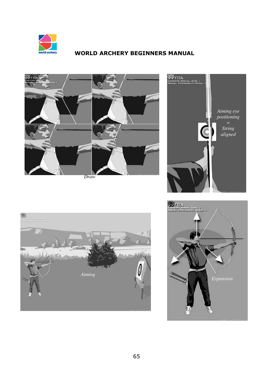







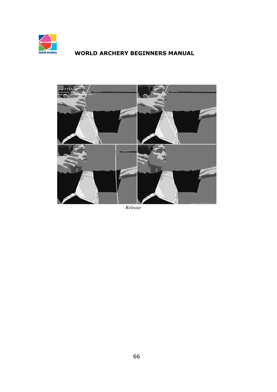



*Release*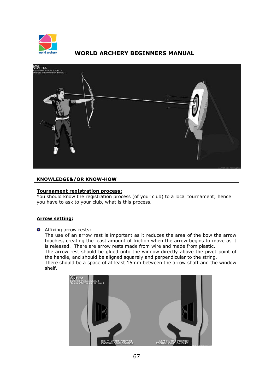



### **KNOWLEDGE&/OR KNOW-HOW**

## **Tournament registration process:**

You should know the registration process (of your club) to a local tournament; hence you have to ask to your club, what is this process.

#### **Arrow setting:**

#### **O** Affixing arrow rests:

The use of an arrow rest is important as it reduces the area of the bow the arrow touches, creating the least amount of friction when the arrow begins to move as it is released. There are arrow rests made from wire and made from plastic. The arrow rest should be glued onto the window directly above the pivot point of the handle, and should be aligned squarely and perpendicular to the string. There should be a space of at least 15mm between the arrow shaft and the window shelf.

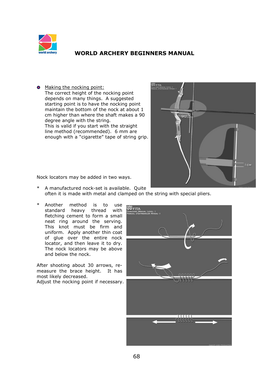

• Making the nocking point: The correct height of the nocking point depends on many things. A suggested starting point is to have the nocking point maintain the bottom of the nock at about 1 cm higher than where the shaft makes a 90 degree angle with the string. This is valid if you start with the straight line method (recommended). 6 mm are enough with a "cigarette" tape of string grip.



Nock locators may be added in two ways.

- \* A manufactured nock-set is available. Quite often it is made with metal and clamped on the string with special pliers.
- \* Another method is to use standard heavy thread with fletching cement to form a small neat ring around the serving. This knot must be firm and uniform. Apply another thin coat of glue over the entire nock locator, and then leave it to dry. The nock locators may be above and below the nock.

After shooting about 30 arrows, remeasure the brace height. It has most likely decreased.

Adjust the nocking point if necessary.

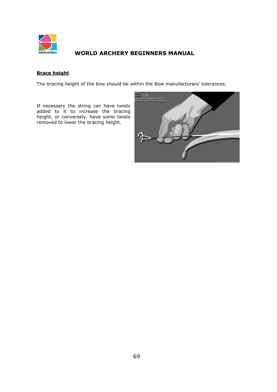

## **Brace height**

The bracing height of the bow should be within the Bow manufacturers' tolerances.

If necessary the string can have twists added to it to increase the bracing height, or conversely, have some twists removed to lower the bracing height.